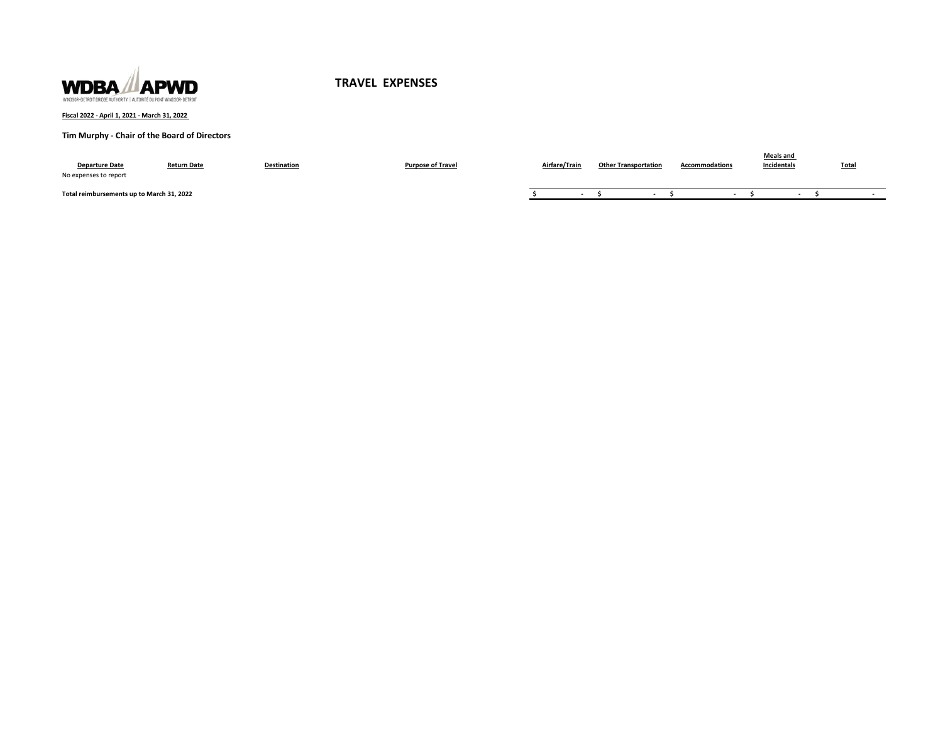

### **Fiscal 2022 - April 1, 2021 - March 31, 2022**

# **Tim Murphy - Chair of the Board of Directors**

| <b>Departure Date</b><br>No expenses to report | <b>Return Date</b> | <b>Destination</b> | <b>Purpose of Travel</b> | Airfare/Train | <b>Other Transportation</b> | <b>Accommodations</b> | <b>Meals and</b><br>Incidentals | <b>Total</b> |
|------------------------------------------------|--------------------|--------------------|--------------------------|---------------|-----------------------------|-----------------------|---------------------------------|--------------|
| Total reimbursements up to March 31, 2022      |                    |                    |                          |               |                             |                       |                                 |              |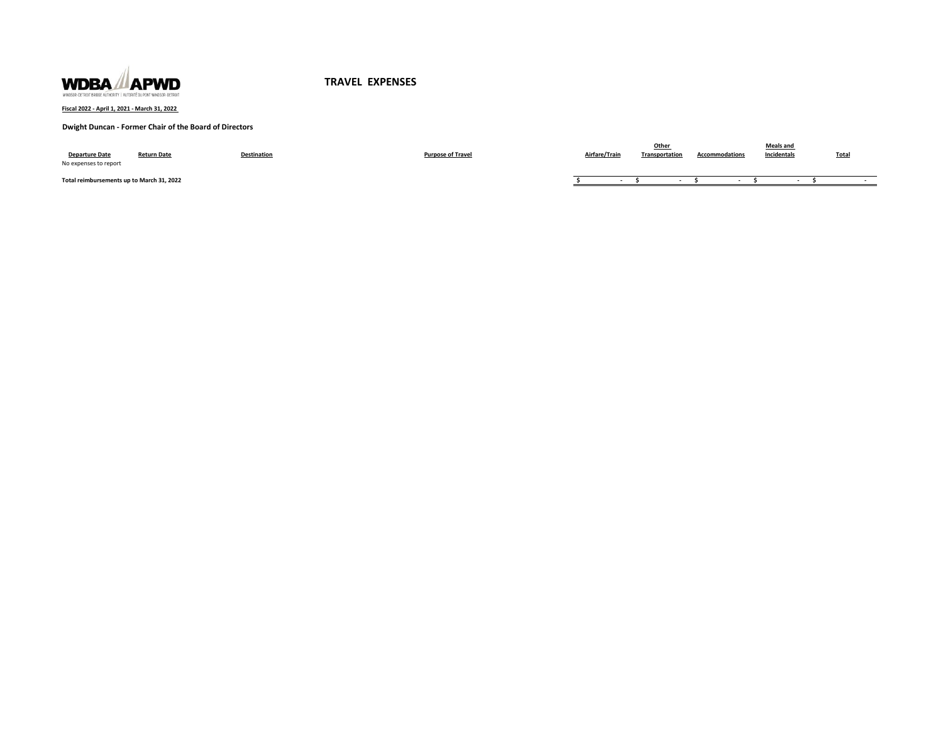

**Fiscal 2022 - April 1, 2021 - March 31, 2022** 

### **Dwight Duncan - Former Chair of the Board of Directors**

| <b>Departure Date</b><br>No expenses to report | <b>Return Date</b> | Destination | <b>Purpose of Travel</b> | Airfare/Train | Other<br>Transportation | <b>Accommodations</b> | Meals and<br>Incidentals | Total |
|------------------------------------------------|--------------------|-------------|--------------------------|---------------|-------------------------|-----------------------|--------------------------|-------|
| Total reimbursements up to March 31, 2022      |                    |             |                          |               |                         |                       |                          |       |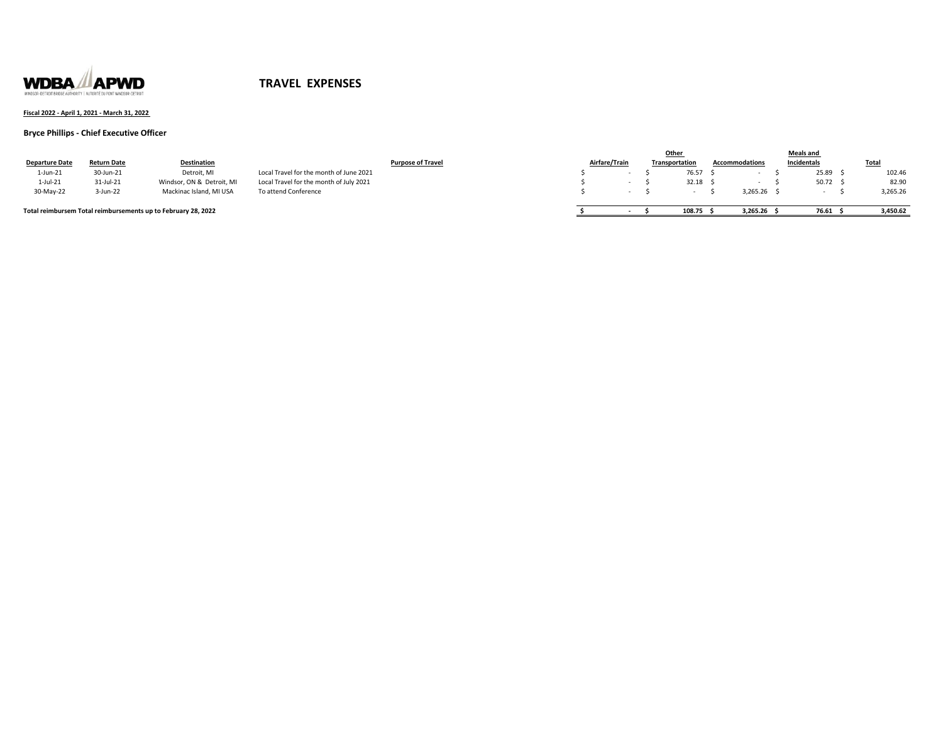

### **Fiscal 2022 - April 1, 2021 - March 31, 2022**

#### **Bryce Phillips - Chief Executive Officer**

|                       |             |                                                               |                                         |                          |               |  | Other          |                       | <b>Meals and</b> |          |
|-----------------------|-------------|---------------------------------------------------------------|-----------------------------------------|--------------------------|---------------|--|----------------|-----------------------|------------------|----------|
| <b>Departure Date</b> | Return Date | Destination                                                   |                                         | <b>Purpose of Travel</b> | Airfare/Train |  | Transportation | <b>Accommodations</b> | Incidentals      | Total    |
| 1-Jun-21              | 30-Jun-21   | Detroit, MI                                                   | Local Travel for the month of June 2021 |                          |               |  | 76.57          |                       | 25.89            | 102.46   |
| 1-Jul-21              | 31-Jul-21   | Windsor, ON & Detroit, MI                                     | Local Travel for the month of July 2021 |                          |               |  | 32.18          |                       | 50.72            | 82.90    |
| 30-May-22             | 3-Jun-22    | Mackinac Island, MI USA                                       | To attend Conference                    |                          |               |  |                | 3.265.26              |                  | 3,265.26 |
|                       |             |                                                               |                                         |                          |               |  |                |                       |                  |          |
|                       |             | Total reimbursem Total reimbursements up to February 28, 2022 |                                         |                          |               |  | 108.75         | 3.265.26              | 76.61            | 3.450.62 |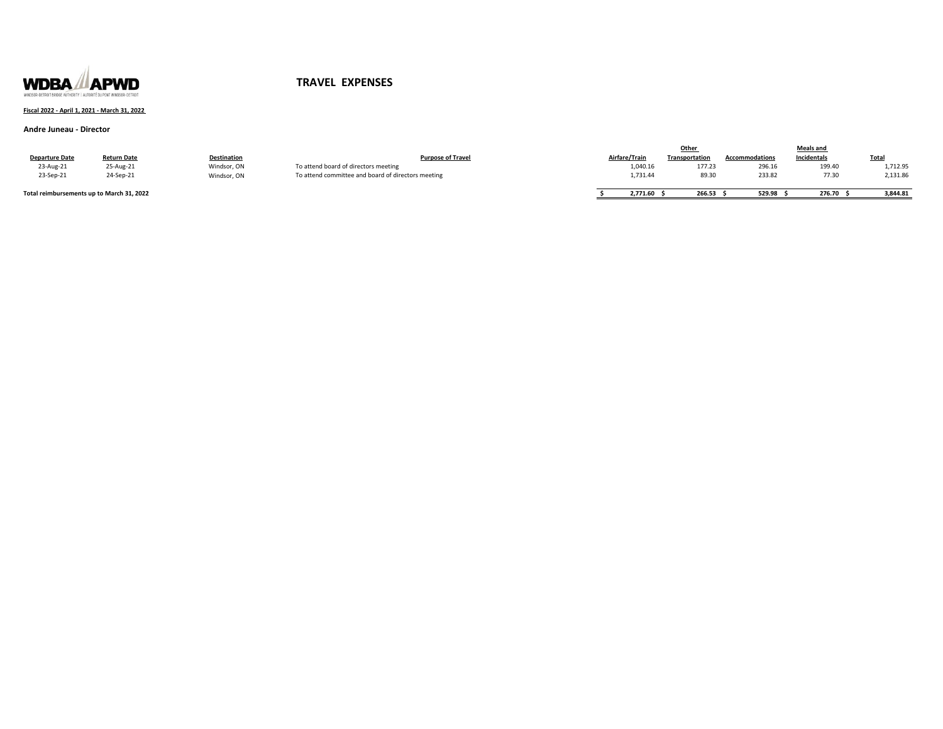

### **Fiscal 2022 - April 1, 2021 - March 31, 2022**

#### **Andre Juneau - Director**

|                                           |                    |             |                                                    |               | Other                 |                       | Meals and   |              |
|-------------------------------------------|--------------------|-------------|----------------------------------------------------|---------------|-----------------------|-----------------------|-------------|--------------|
| <b>Departure Date</b>                     | <b>Return Date</b> | Destination | <b>Purpose of Travel</b>                           | Airfare/Train | <b>Transportation</b> | <b>Accommodations</b> | Incidentals | <b>Total</b> |
| 23-Aug-21                                 | 25-Aug-21          | Windsor, ON | To attend board of directors meeting               | 1,040.16      | 177.23                | 296.16                | 199.40      | 1,712.95     |
| 23-Sep-21                                 | 24-Sep-21          | Windsor, ON | To attend committee and board of directors meeting | 1,731.44      | 89.30                 | 233.82                | 77.30       | 2,131.86     |
|                                           |                    |             |                                                    |               |                       |                       |             |              |
| Total reimbursements up to March 31, 2022 |                    |             |                                                    | 2,771.60      | 266.53                | 529.98                | 276.70      | 3.844.81     |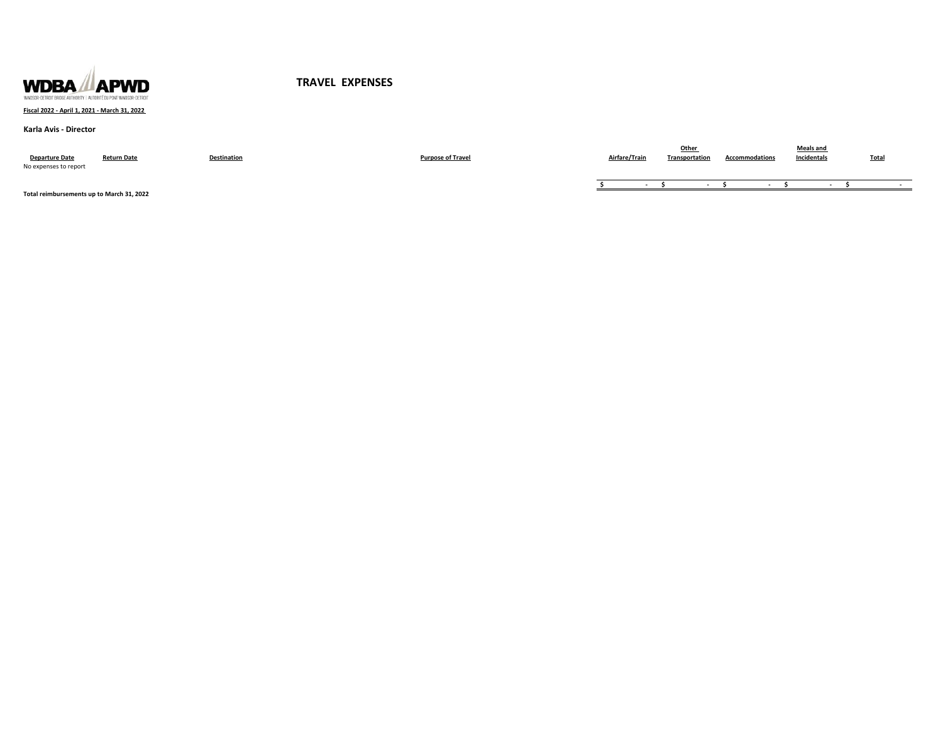

### **Fiscal 2022 - April 1, 2021 - March 31, 2022**

#### **Karla Avis - Director**

| <b>Departure Date</b><br>No expenses to report | <b>Return Date</b> | Destination | <b>Purpose of Travel</b> | Airfare/Train | Other<br>Transportation | <b>Accommodations</b> | <b>Meals and</b><br>Incidentals | <b>Total</b> |
|------------------------------------------------|--------------------|-------------|--------------------------|---------------|-------------------------|-----------------------|---------------------------------|--------------|
|                                                |                    |             |                          |               |                         |                       |                                 |              |

**Total reimbursements up to March 31, 2022**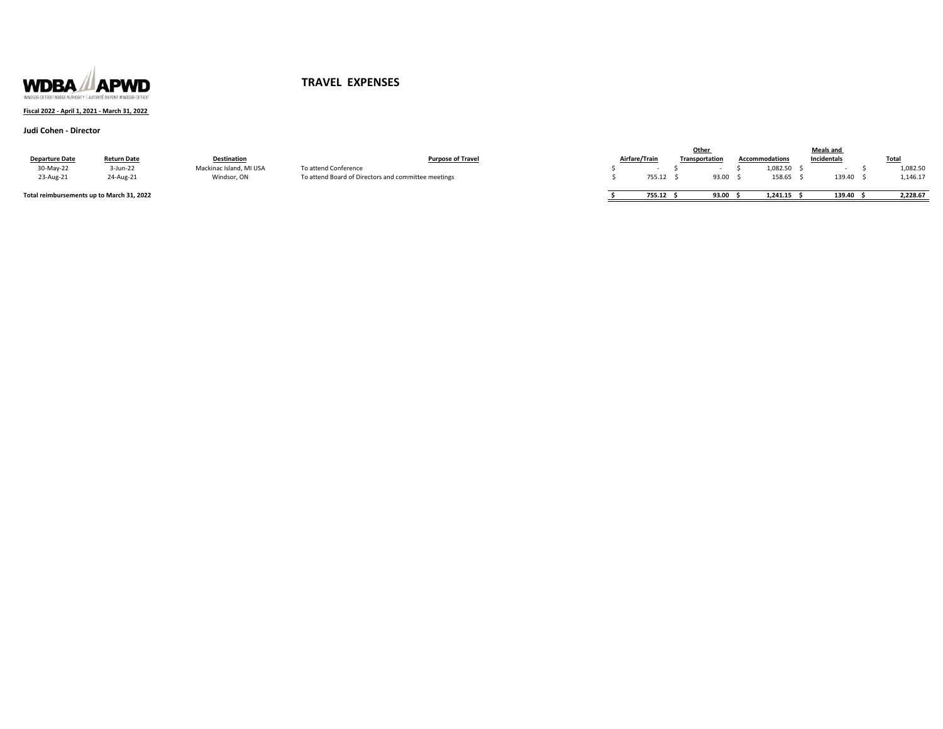

### **Fiscal 2022 - April 1, 2021 - March 31, 2022**

#### **Judi Cohen - Director**

|                                           |                    |                         |                                                     |               | Other                 |                       | <b>Meals and</b> |              |
|-------------------------------------------|--------------------|-------------------------|-----------------------------------------------------|---------------|-----------------------|-----------------------|------------------|--------------|
| <b>Departure Date</b>                     | <b>Return Date</b> | <b>Destination</b>      | <b>Purpose of Travel</b>                            | Airfare/Train | <b>Transportation</b> | <b>Accommodations</b> | Incidentals      | <b>Total</b> |
| 30-May-22                                 | 3-Jun-22           | Mackinac Island, MI USA | To attend Conference                                |               |                       | 1,082.50              |                  | 1,082.50     |
| 23-Aug-21                                 | 24-Aug-21          | Windsor, ON             | To attend Board of Directors and committee meetings | 755.12        | 93.00                 | 158.65                | 139.40           | 1,146.17     |
| Total reimbursements up to March 31, 2022 |                    |                         |                                                     | 755.12        | 93.00                 | 1.241.15              | 139.40           | 2.228.67     |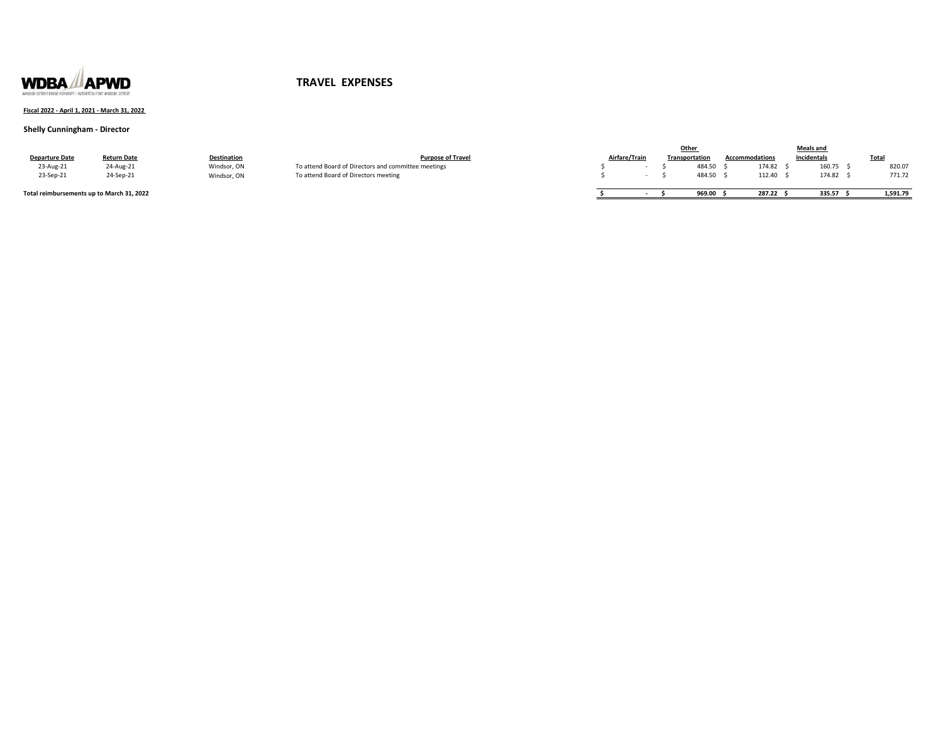

### **Fiscal 2022 - April 1, 2021 - March 31, 2022**

### **Shelly Cunningham - Director**

|                                           |                    |             |                                                     |               |  | Other                 |                       | <b>Meals and</b> |              |
|-------------------------------------------|--------------------|-------------|-----------------------------------------------------|---------------|--|-----------------------|-----------------------|------------------|--------------|
| <b>Departure Date</b>                     | <b>Return Date</b> | Destination | <b>Purpose of Travel</b>                            | Airfare/Train |  | <b>Transportation</b> | <b>Accommodations</b> | Incidentals      | <b>Total</b> |
| 23-Aug-21                                 | 24-Aug-21          | Windsor, ON | To attend Board of Directors and committee meetings |               |  | 484.50                | 174.82                | 160.75           | 820.07       |
| 23-Sep-21                                 | 24-Sep-21          | Windsor, ON | To attend Board of Directors meeting                |               |  | 484.50                | 112.40                | 174.82           | 771.72       |
| Total reimbursements up to March 31, 2022 |                    |             |                                                     |               |  | 969.00                | 287.22                | 335.57           | 1,591.79     |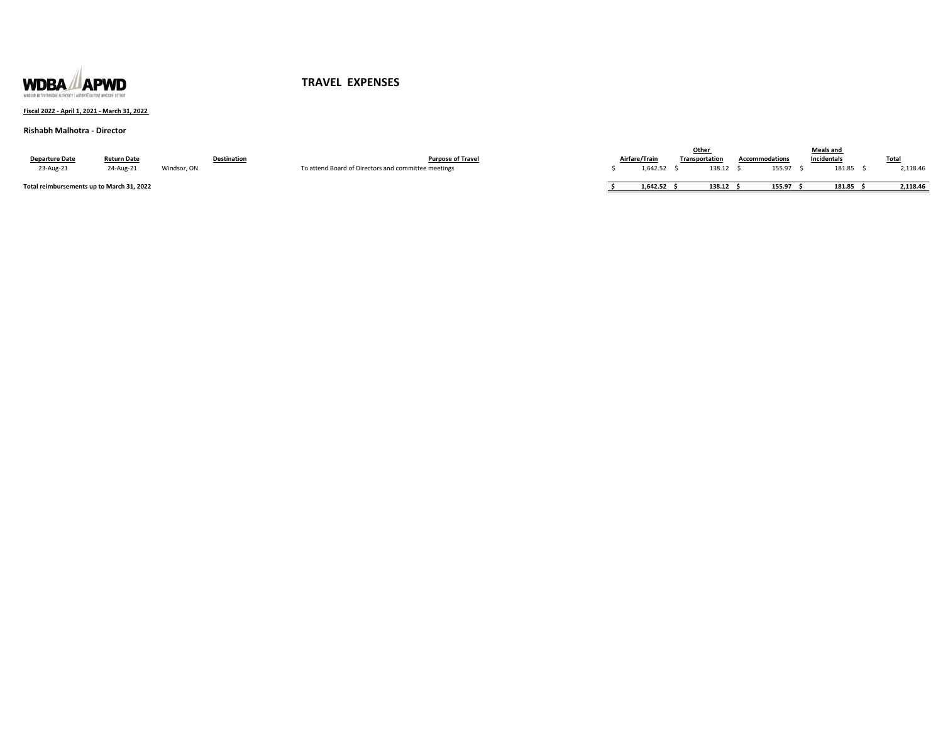

### **Fiscal 2022 - April 1, 2021 - March 31, 2022**

#### **Rishabh Malhotra - Director**

|                                           |                    |             |                    |                                                     |               | Othe.                 |                | Meals and   |              |
|-------------------------------------------|--------------------|-------------|--------------------|-----------------------------------------------------|---------------|-----------------------|----------------|-------------|--------------|
| <b>Departure Date</b>                     | <b>Return Date</b> |             | <b>Destination</b> | <b>Purpose of Travel</b>                            | Airfare/Train | <b>Transportation</b> | Accommodations | Incidentals | <b>Total</b> |
| 23-Aug-21                                 | 24-Aug-21          | Windsor, ON |                    | To attend Board of Directors and committee meetings | 1.642.52      | 138.12                | 155.97         | 181.85      | 2,118.46     |
| Total reimbursements un to March 31, 2022 |                    |             |                    |                                                     | 1.642.52      | 138.12                | 155.97         | 181.85      | 2.118.46     |

 **Braudi reimbursements up to March 31, 20**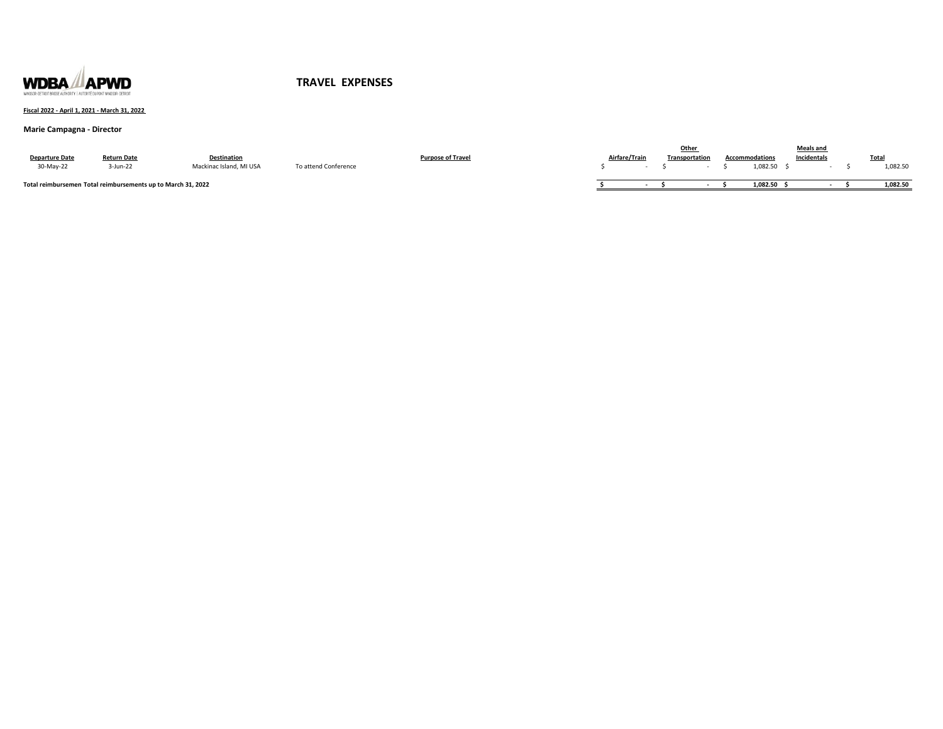

### **Fiscal 2022 - April 1, 2021 - March 31, 2022**

### **Marie Campagna - Director**

|                                                              |                    |                         |                      |                   |               | Other          |                       | <b>Meals and</b> |             |
|--------------------------------------------------------------|--------------------|-------------------------|----------------------|-------------------|---------------|----------------|-----------------------|------------------|-------------|
| <b>Departure Date</b>                                        | <b>Return Date</b> | Destination             |                      | 'urpose of Travel | Airfare/Trair | Transportation | <b>Accommodations</b> | Incidentals      | <b>Tota</b> |
| 30-May-22                                                    | -Jun-22            | Mackinac Island, MI USA | To attend Conference |                   |               |                | 1,082.50              |                  | 1,082.50    |
| Total reimbursemen Total reimbursements up to March 31, 2022 |                    |                         |                      |                   |               |                | 1,082.50              |                  | 1,082.50    |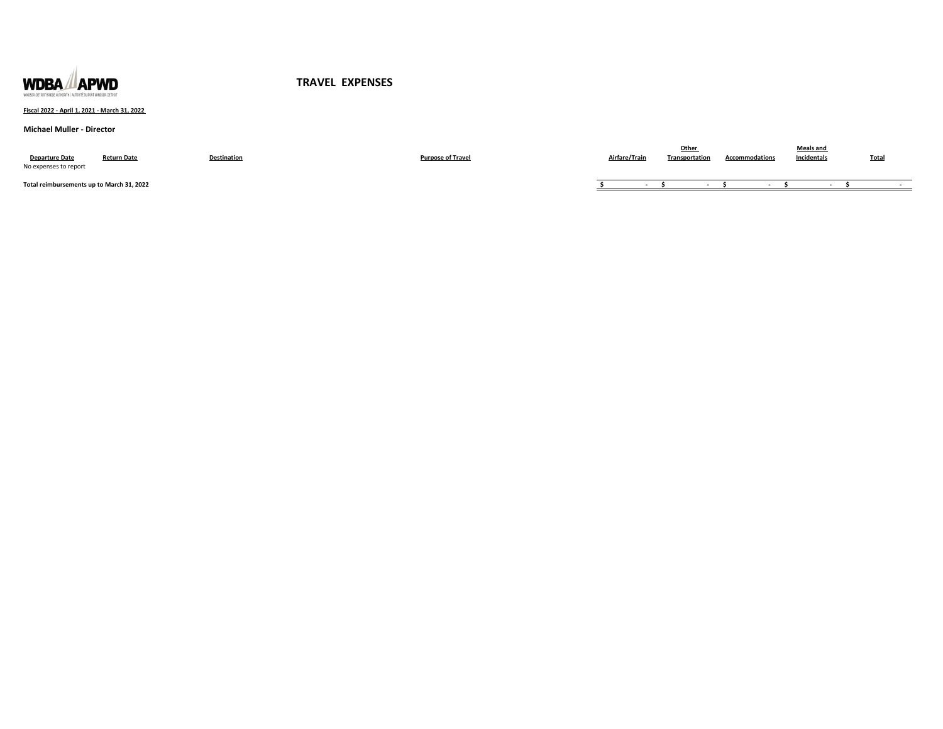

### **Fiscal 2022 - April 1, 2021 - March 31, 2022**

#### **Michael Muller - Director**

| <b>Departure Date</b><br>No expenses to report | <b>Return Date</b> | Destination | <b>Purpose of Travel</b> | Airfare/Train | Transportation | <b>Accommodations</b> | <b>Meals and</b><br>Incidentals | <b>Total</b> |
|------------------------------------------------|--------------------|-------------|--------------------------|---------------|----------------|-----------------------|---------------------------------|--------------|
| Total reimbursements up to March 31, 2022      |                    |             |                          |               |                |                       |                                 |              |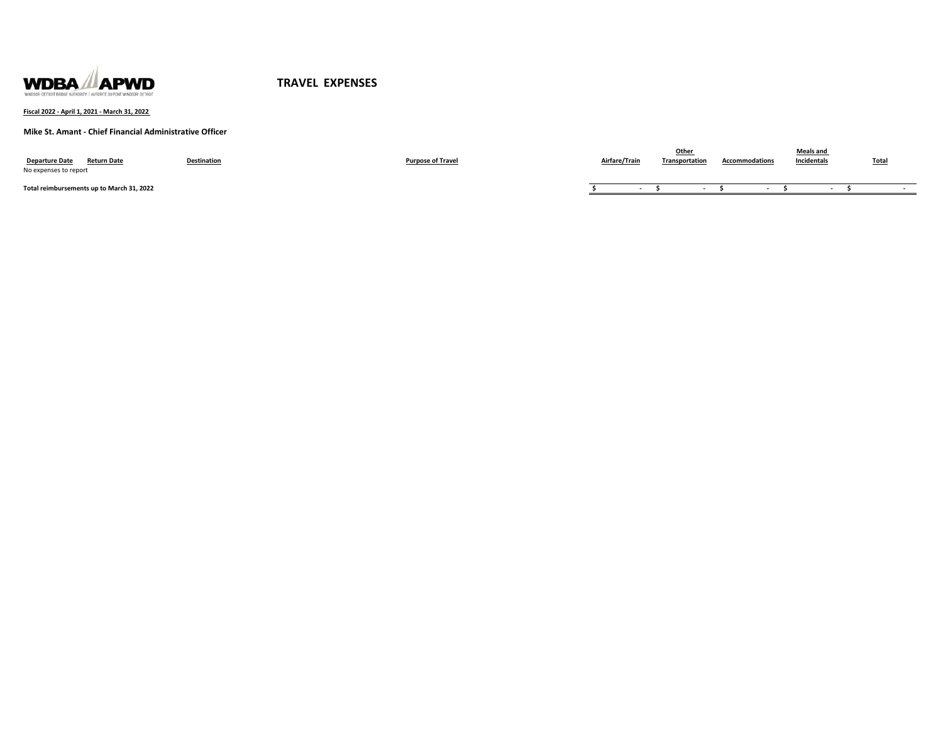

**Fiscal 2022 - April 1, 2021 - March 31, 2022** 

**Mike St. Amant - Chief Financial Administrative Officer**

| <b>Departure Date</b><br><b>Return Date</b><br>No expenses to report | <b>Destination</b> | <b>Purpose of Travel</b> | Airfare/Train | Other<br><b>Transportation</b> | <b>Accommodations</b> | <b>Meals and</b><br>Incidentals | <b>Total</b> |
|----------------------------------------------------------------------|--------------------|--------------------------|---------------|--------------------------------|-----------------------|---------------------------------|--------------|
| Total reimbursements up to March 31, 2022                            |                    |                          |               |                                |                       |                                 |              |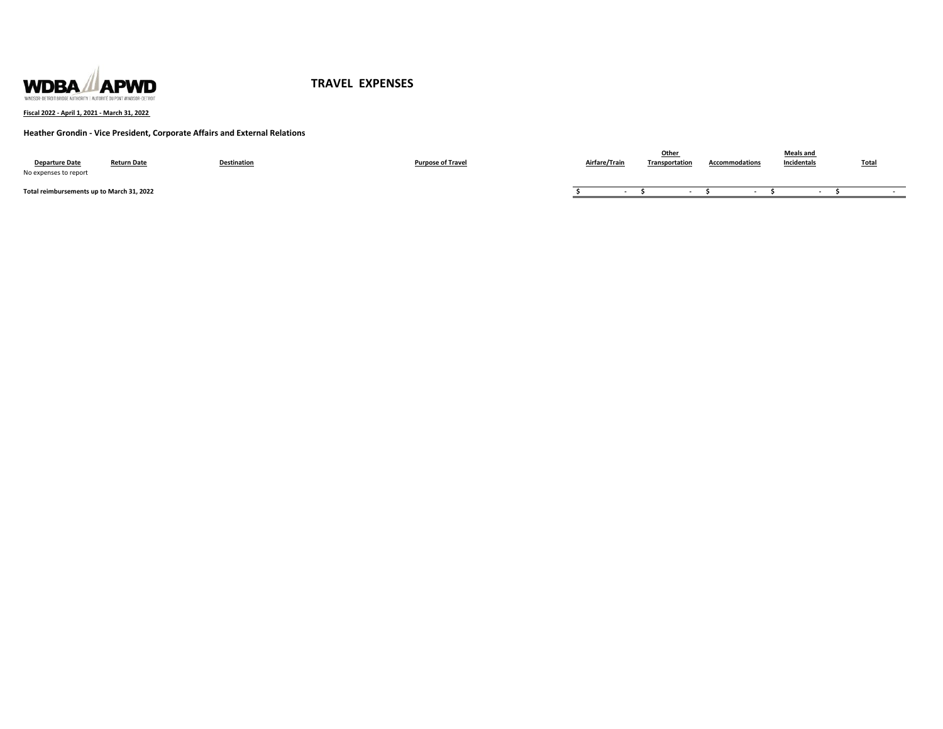

**Fiscal 2022 - April 1, 2021 - March 31, 2022** 

### **Heather Grondin - Vice President, Corporate Affairs and External Relations**

| <b>Departure Date</b><br>No expenses to report | <b>Return Date</b> | <b>Destination</b> | <b>Purpose of Travel</b> | Airfare/Train | Othe<br>Transportation | <b>Accommodations</b> | <b>Meals and</b><br>Incidentals | <b>Total</b> |
|------------------------------------------------|--------------------|--------------------|--------------------------|---------------|------------------------|-----------------------|---------------------------------|--------------|
| Total reimbursements up to March 31, 2022      |                    |                    |                          |               |                        |                       |                                 |              |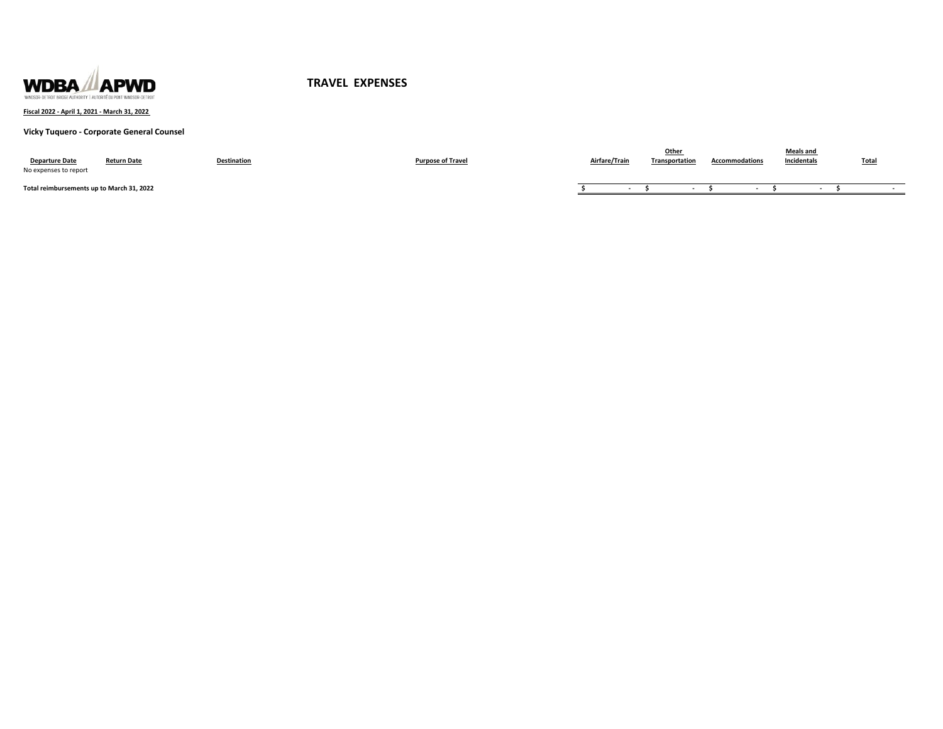

**Fiscal 2022 - April 1, 2021 - March 31, 2022** 

**Vicky Tuquero - Corporate General Counsel**

| <b>Departure Date</b><br>No expenses to report | <b>Return Date</b> | <b>Destination</b> | <b>Purpose of Travel</b> | Airfare/Train | Other<br>Transportation | <b>Accommodations</b> | <b>Meals and</b><br>Incidentals | <b>Total</b> |
|------------------------------------------------|--------------------|--------------------|--------------------------|---------------|-------------------------|-----------------------|---------------------------------|--------------|
| Total reimbursements up to March 31, 2022      |                    |                    |                          |               |                         |                       |                                 |              |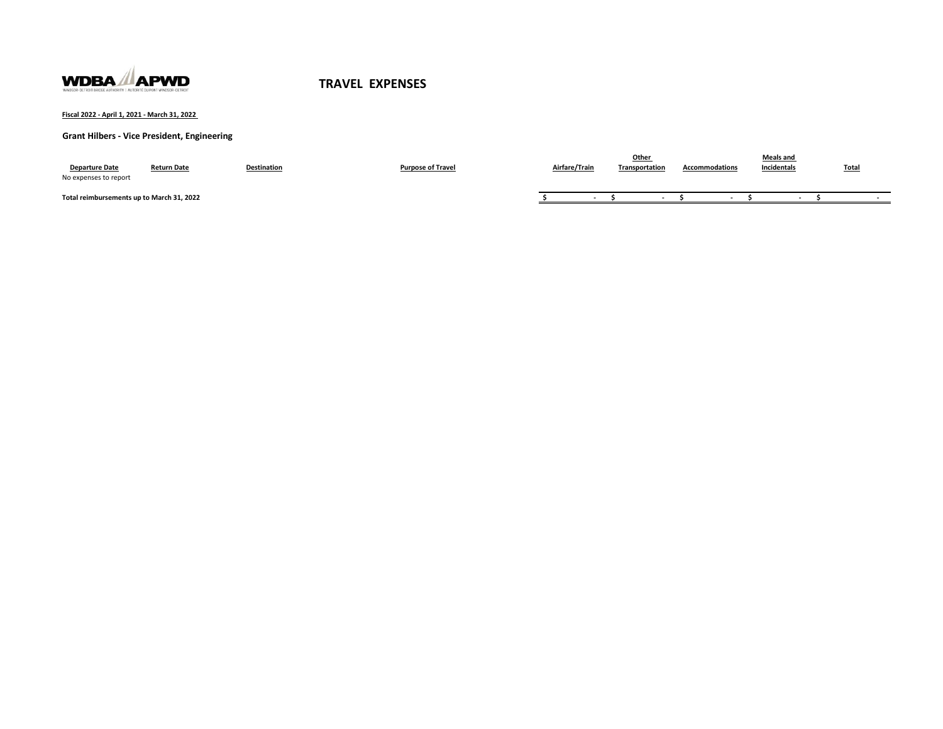

**Fiscal 2022 - April 1, 2021 - March 31, 2022** 

**Grant Hilbers - Vice President, Engineering**

| <b>Departure Date</b><br>No expenses to report | <b>Return Date</b> | Destination | <b>Purpose of Travel</b> | Airfare/Train | <u>Other</u><br>Transportation | <b>Accommodations</b> | Meals and<br>Incidentals | <b>Total</b> |
|------------------------------------------------|--------------------|-------------|--------------------------|---------------|--------------------------------|-----------------------|--------------------------|--------------|
| Total reimbursements up to March 31, 2022      |                    |             |                          |               |                                |                       |                          |              |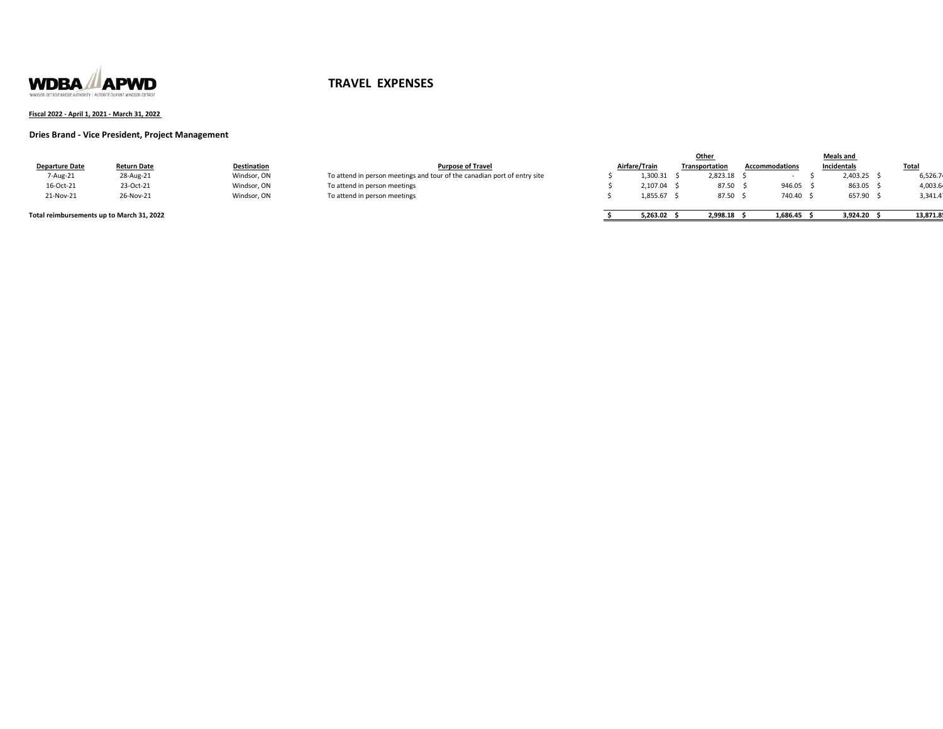

### **Fiscal 2022 - April 1, 2021 - March 31, 2022**

### **Dries Brand - Vice President, Project Management**

|                       |                    |                    |                                                                          |               | Other          |         |                       | <b>Meals and</b> |             |              |
|-----------------------|--------------------|--------------------|--------------------------------------------------------------------------|---------------|----------------|---------|-----------------------|------------------|-------------|--------------|
| <b>Departure Date</b> | <b>Return Date</b> | <b>Destination</b> | <b>Purpose of Travel</b>                                                 | Airfare/Train | Transportation |         | <b>Accommodations</b> |                  | Incidentals | <b>Total</b> |
| 7-Aug-21              | 28-Aug-21          | Windsor, ON        | To attend in person meetings and tour of the canadian port of entry site | 1,300.31      | 2,823.18       |         |                       |                  | ,403.25     | 6.526.74     |
| 16-Oct-21             | 23-Oct-21          | Windsor, ON        | To attend in person meetings                                             | 2.107.04      |                | 87.50 : | 946.05                |                  | 863.05      | 4,003.6      |
| 21-Nov-21             | 26-Nov-21          | Windsor, ON        | To attend in person meetings                                             | 1.855.67 :    |                | 87.50   | 740.40 \$             |                  | 657.90      | 3,341.41     |
|                       |                    |                    |                                                                          |               |                |         |                       |                  |             |              |

### **Total reimbursements up to March 31, 2022**

| Airfare/Train |          | Transportation |          | <b>Accommodations</b> |          |  | Incidentals | Total    |
|---------------|----------|----------------|----------|-----------------------|----------|--|-------------|----------|
| Ś             | 1.300.31 |                | 2.823.18 |                       | ٠        |  | 2.403.25    | 6,526.7  |
| \$            | 2.107.04 |                | 87.50    |                       | 946.05   |  | 863.05      | 4,003.6  |
| Ś             | 1.855.67 |                | 87.50    |                       | 740.40   |  | 657.90      | 3,341.4  |
| Ś             | 5.263.02 |                | 2.998.18 |                       | 1.686.45 |  | 3.924.20    | 13.871.8 |